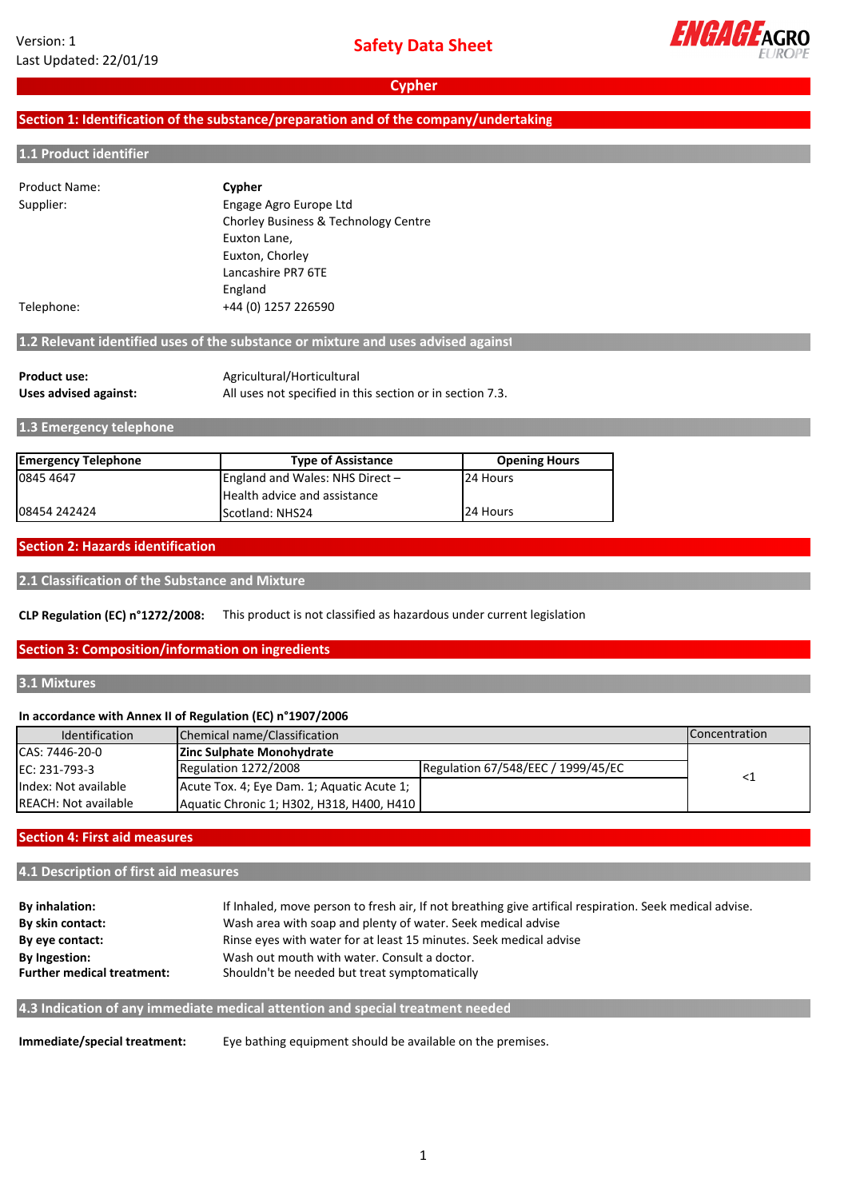

## **Section 1: Identification of the substance/preparation and of the company/undertaking**

#### **1.1 Product identifier**

| <b>Product Name:</b> | Cypher                               |  |
|----------------------|--------------------------------------|--|
| Supplier:            | Engage Agro Europe Ltd               |  |
|                      | Chorley Business & Technology Centre |  |
|                      | Euxton Lane,                         |  |
|                      | Euxton, Chorley                      |  |
|                      | Lancashire PR7 6TE                   |  |
|                      | England                              |  |
| Telephone:           | +44 (0) 1257 226590                  |  |

# **1.2 Relevant identified uses of the substance or mixture and uses advised against**

| <b>Product use:</b>   | Agricultural/Horticultural                                |
|-----------------------|-----------------------------------------------------------|
| Uses advised against: | All uses not specified in this section or in section 7.3. |

## **1.3 Emergency telephone**

| <b>Emergency Telephone</b> | <b>Type of Assistance</b>       | <b>Opening Hours</b> |
|----------------------------|---------------------------------|----------------------|
| 0845 4647                  | England and Wales: NHS Direct - | 24 Hours             |
|                            | Health advice and assistance    |                      |
| 08454 242424               | Scotland: NHS24                 | 24 Hours             |

#### **Section 2: Hazards identification**

```
2.1 Classification of the Substance and Mixture
```
**CLP Regulation (EC) n°1272/2008:** This product is not classified as hazardous under current legislation

#### **Section 3: Composition/information on ingredients**

## **3.1 Mixtures**

#### **In accordance with Annex II of Regulation (EC) n°1907/2006**

| Identification       | Chemical name/Classification               |                                    | <b>Concentration</b> |
|----------------------|--------------------------------------------|------------------------------------|----------------------|
| CAS: 7446-20-0       | Zinc Sulphate Monohydrate                  |                                    |                      |
| EC: 231-793-3        | Regulation 1272/2008                       | Regulation 67/548/EEC / 1999/45/EC |                      |
| Index: Not available | Acute Tox. 4; Eye Dam. 1; Aquatic Acute 1; |                                    |                      |
| REACH: Not available | Aquatic Chronic 1; H302, H318, H400, H410  |                                    |                      |

#### **Section 4: First aid measures**

#### **4.1 Description of first aid measures**

| By inhalation:                    | If Inhaled, move person to fresh air, If not breathing give artifical respiration. Seek medical advise. |
|-----------------------------------|---------------------------------------------------------------------------------------------------------|
| By skin contact:                  | Wash area with soap and plenty of water. Seek medical advise                                            |
| By eye contact:                   | Rinse eyes with water for at least 15 minutes. Seek medical advise                                      |
| <b>By Ingestion:</b>              | Wash out mouth with water. Consult a doctor.                                                            |
| <b>Further medical treatment:</b> | Shouldn't be needed but treat symptomatically                                                           |
|                                   |                                                                                                         |

**4.3 Indication of any immediate medical attention and special treatment needed**

**Immediate/special treatment:** Eye bathing equipment should be available on the premises.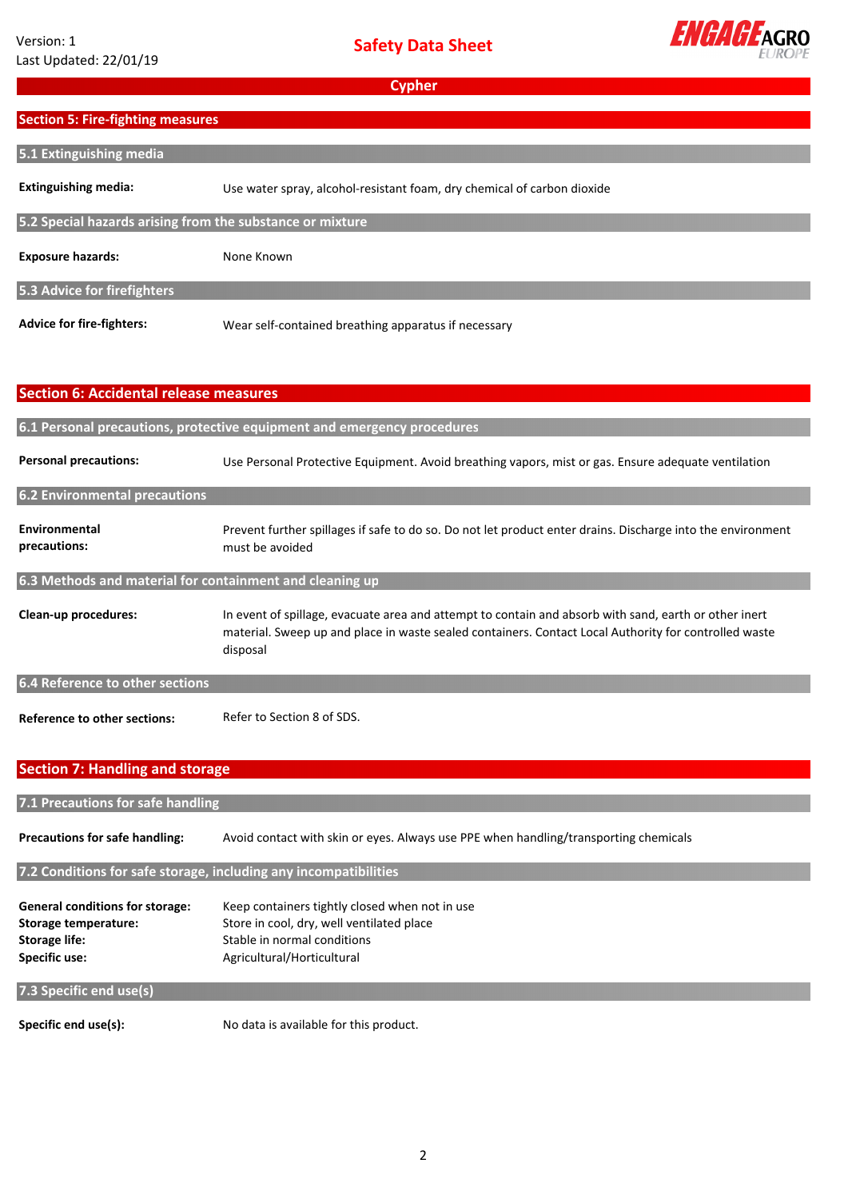

# **Section 5: Fire‐fighting measures**

| 5.1 Extinguishing media                                   |                                                                         |
|-----------------------------------------------------------|-------------------------------------------------------------------------|
|                                                           |                                                                         |
| <b>Extinguishing media:</b>                               | Use water spray, alcohol-resistant foam, dry chemical of carbon dioxide |
|                                                           |                                                                         |
| 5.2 Special hazards arising from the substance or mixture |                                                                         |
|                                                           |                                                                         |
| <b>Exposure hazards:</b>                                  | None Known                                                              |
|                                                           |                                                                         |
| 5.3 Advice for firefighters                               |                                                                         |
|                                                           |                                                                         |
| <b>Advice for fire-fighters:</b>                          | Wear self-contained breathing apparatus if necessary                    |

# **Section 6: Accidental release measures 6.1 Personal precautions, protective equipment and emergency procedures**

| <b>Personal precautions:</b>         | Use Personal Protective Equipment. Avoid breathing vapors, mist or gas. Ensure adequate ventilation                            |
|--------------------------------------|--------------------------------------------------------------------------------------------------------------------------------|
| <b>6.2 Environmental precautions</b> |                                                                                                                                |
| Environmental<br>precautions:        | Prevent further spillages if safe to do so. Do not let product enter drains. Discharge into the environment<br>must be avoided |

# **6.3 Methods and material for containment and cleaning up**

**Clean‐up procedures:** In event of spillage, evacuate area and attempt to contain and absorb with sand, earth or other inert material. Sweep up and place in waste sealed containers. Contact Local Authority for controlled waste disposal

**6.4 Reference to other sections**

**Reference to other sections:**  Refer to Section 8 of SDS.

# **Section 7: Handling and storage**

| 7.1 Precautions for safe handling                                |                                                                                      |  |
|------------------------------------------------------------------|--------------------------------------------------------------------------------------|--|
| <b>Precautions for safe handling:</b>                            | Avoid contact with skin or eyes. Always use PPE when handling/transporting chemicals |  |
| 7.2 Conditions for safe storage, including any incompatibilities |                                                                                      |  |
|                                                                  |                                                                                      |  |
| <b>General conditions for storage:</b>                           | Keep containers tightly closed when not in use                                       |  |
| Storage temperature:                                             | Store in cool, dry, well ventilated place                                            |  |
| <b>Storage life:</b>                                             | Stable in normal conditions                                                          |  |
| Specific use:                                                    | Agricultural/Horticultural                                                           |  |
| 7.3 Specific end use(s)                                          |                                                                                      |  |
| Specific end use(s):                                             | No data is available for this product.                                               |  |

No data is available for this product.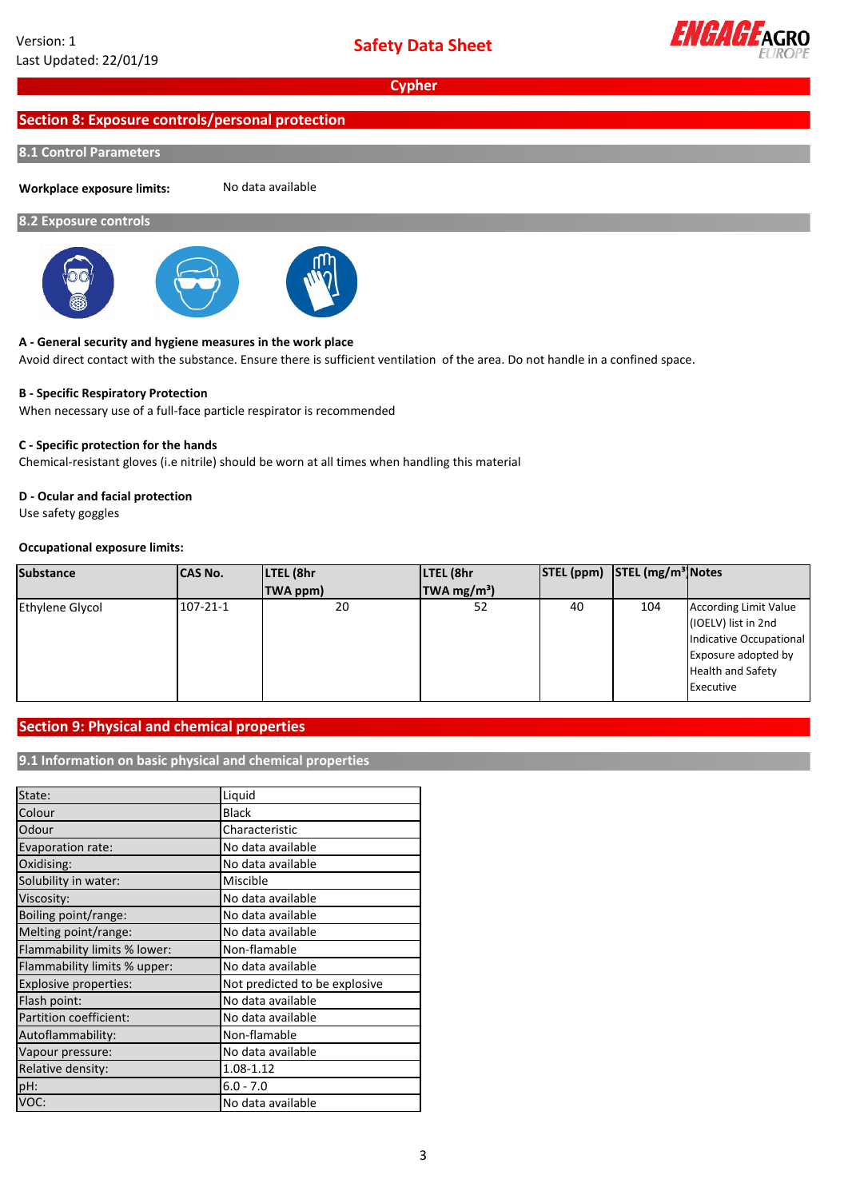

# **Section 8: Exposure controls/personal protection**

# **8.1 Control Parameters**

**Workplace exposure limits:**

No data available

## **8.2 Exposure controls**



#### **A ‐ General security and hygiene measures in the work place**

Avoid direct contact with the substance. Ensure there is sufficient ventilation of the area. Do not handle in a confined space.

#### **B ‐ Specific Respiratory Protection**

When necessary use of a full‐face particle respirator is recommended

# **C ‐ Specific protection for the hands**

Chemical‐resistant gloves (i.e nitrile) should be worn at all times when handling this material

## **D ‐ Ocular and facial protection**

Use safety goggles

### **Occupational exposure limits:**

| <b>Substance</b>       | <b>CAS No.</b> | LTEL (8hr | LTEL (8hr                     |    | STEL (ppm) STEL (mg/m <sup>3</sup> Notes |                                                                                                                                                |
|------------------------|----------------|-----------|-------------------------------|----|------------------------------------------|------------------------------------------------------------------------------------------------------------------------------------------------|
|                        |                | TWA ppm)  | $\textsf{TWA} \text{ mg/m}^3$ |    |                                          |                                                                                                                                                |
| <b>Ethylene Glycol</b> | 107-21-1       | 20        | 52                            | 40 | 104                                      | <b>According Limit Value</b><br>(IOELV) list in 2nd<br>Indicative Occupational<br>Exposure adopted by<br><b>Health and Safety</b><br>Executive |

# **Section 9: Physical and chemical properties**

# **9.1 Information on basic physical and chemical properties**

| State:                       | Liquid                        |
|------------------------------|-------------------------------|
| Colour                       | <b>Black</b>                  |
| Odour                        | Characteristic                |
| Evaporation rate:            | No data available             |
| Oxidising:                   | No data available             |
| Solubility in water:         | Miscible                      |
| Viscosity:                   | No data available             |
| Boiling point/range:         | No data available             |
| Melting point/range:         | No data available             |
| Flammability limits % lower: | Non-flamable                  |
| Flammability limits % upper: | No data available             |
| Explosive properties:        | Not predicted to be explosive |
| Flash point:                 | No data available             |
| Partition coefficient:       | No data available             |
| Autoflammability:            | Non-flamable                  |
| Vapour pressure:             | No data available             |
| Relative density:            | 1.08-1.12                     |
| pH:                          | $6.0 - 7.0$                   |
| VOC:                         | No data available             |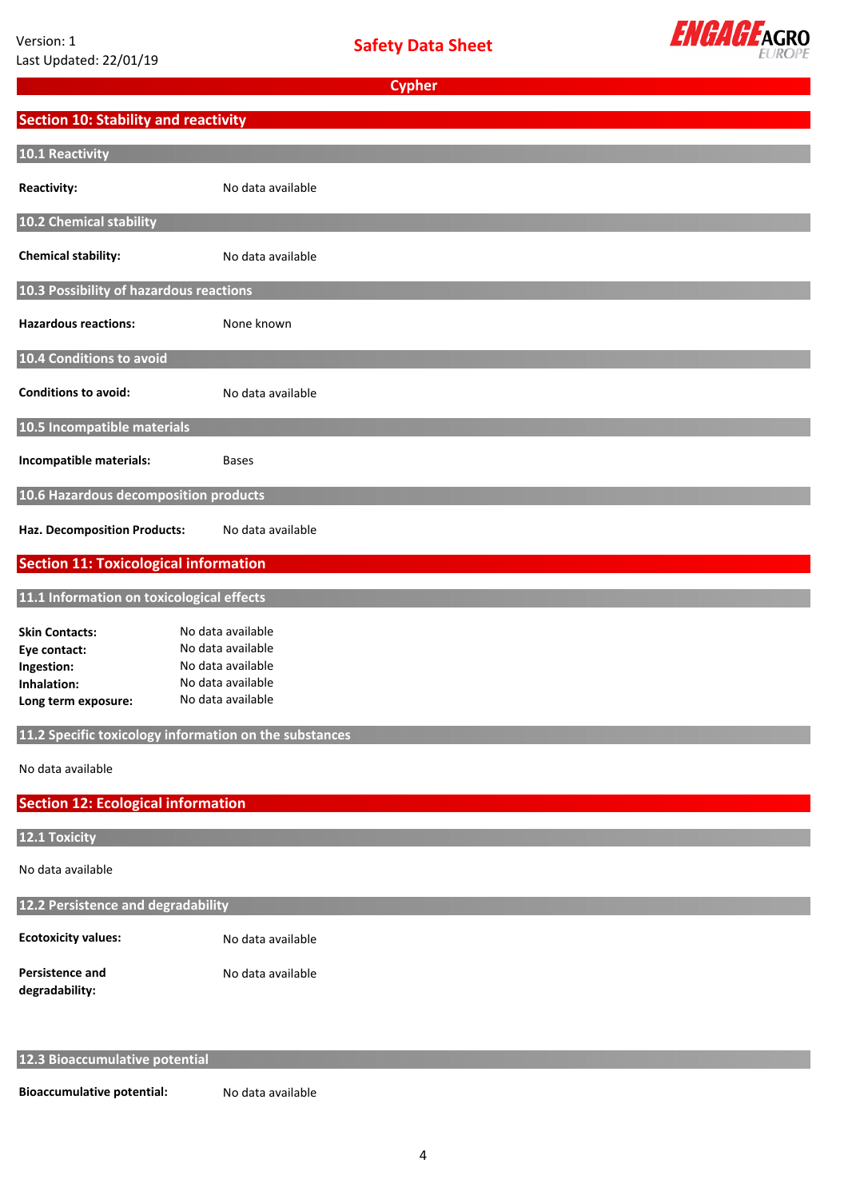

| <b>Section 10: Stability and reactivity</b>  |                                                        |
|----------------------------------------------|--------------------------------------------------------|
|                                              |                                                        |
| 10.1 Reactivity                              |                                                        |
| <b>Reactivity:</b>                           | No data available                                      |
| 10.2 Chemical stability                      |                                                        |
| <b>Chemical stability:</b>                   | No data available                                      |
| 10.3 Possibility of hazardous reactions      |                                                        |
| <b>Hazardous reactions:</b>                  | None known                                             |
| 10.4 Conditions to avoid                     |                                                        |
| <b>Conditions to avoid:</b>                  | No data available                                      |
| 10.5 Incompatible materials                  |                                                        |
| Incompatible materials:                      | <b>Bases</b>                                           |
| 10.6 Hazardous decomposition products        |                                                        |
| Haz. Decomposition Products:                 | No data available                                      |
| <b>Section 11: Toxicological information</b> |                                                        |
|                                              |                                                        |
| 11.1 Information on toxicological effects    |                                                        |
| <b>Skin Contacts:</b>                        | No data available                                      |
| Eye contact:                                 | No data available                                      |
| Ingestion:                                   | No data available                                      |
| Inhalation:                                  | No data available                                      |
| Long term exposure:                          | No data available                                      |
|                                              |                                                        |
|                                              | 11.2 Specific toxicology information on the substances |
| No data available                            |                                                        |
| <b>Section 12: Ecological information</b>    |                                                        |
|                                              |                                                        |
| 12.1 Toxicity                                |                                                        |
| No data available                            |                                                        |
| 12.2 Persistence and degradability           |                                                        |
| <b>Ecotoxicity values:</b>                   | No data available                                      |
| Persistence and<br>degradability:            | No data available                                      |

**12.3 Bioaccumulative potential**

**Bioaccumulative potential:**

No data available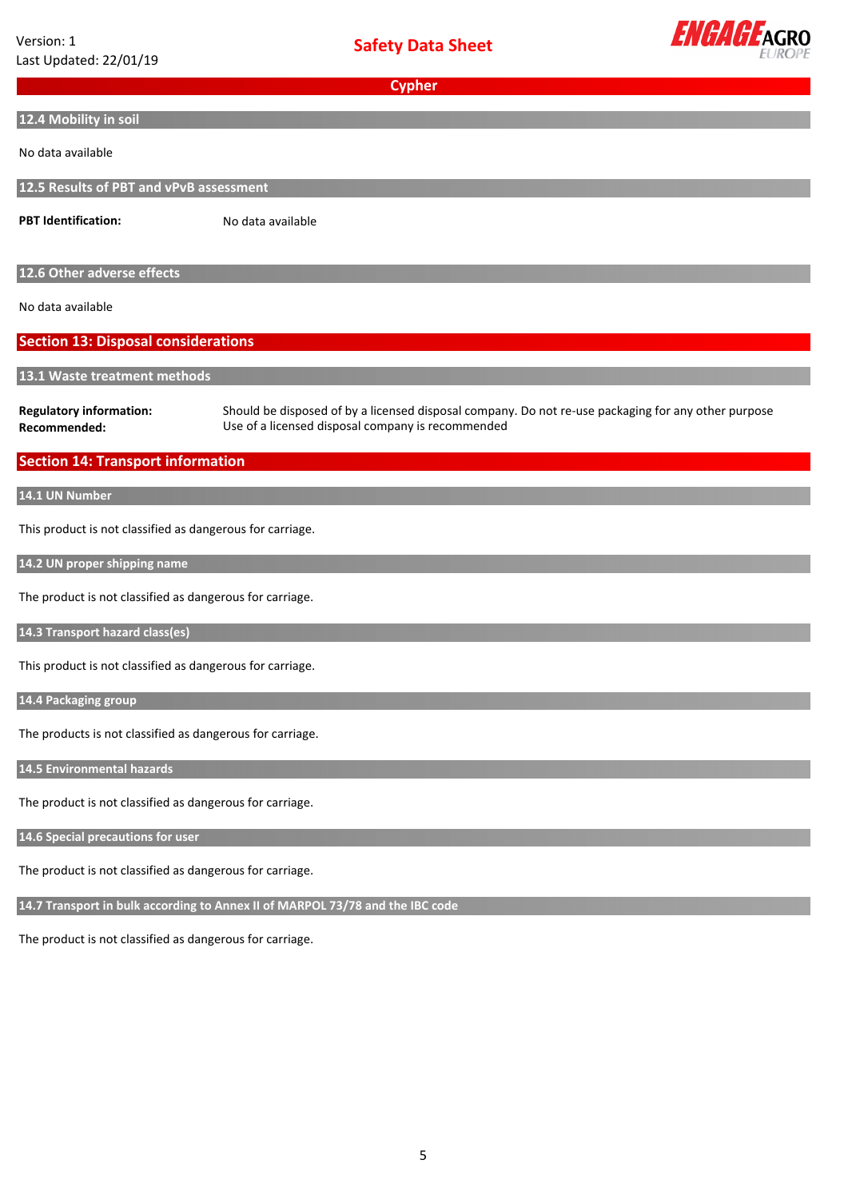| Version: 1<br>Last Updated: 22/01/19                      | <b>Safety Data Sheet</b>                                                                                                                                 | <b>ENGAGE AGRO</b> |
|-----------------------------------------------------------|----------------------------------------------------------------------------------------------------------------------------------------------------------|--------------------|
|                                                           | <b>Cypher</b>                                                                                                                                            |                    |
| 12.4 Mobility in soil                                     |                                                                                                                                                          |                    |
| No data available                                         |                                                                                                                                                          |                    |
| 12.5 Results of PBT and vPvB assessment                   |                                                                                                                                                          |                    |
| <b>PBT Identification:</b>                                | No data available                                                                                                                                        |                    |
| 12.6 Other adverse effects                                |                                                                                                                                                          |                    |
| No data available                                         |                                                                                                                                                          |                    |
| <b>Section 13: Disposal considerations</b>                |                                                                                                                                                          |                    |
| 13.1 Waste treatment methods                              |                                                                                                                                                          |                    |
| <b>Regulatory information:</b><br>Recommended:            | Should be disposed of by a licensed disposal company. Do not re-use packaging for any other purpose<br>Use of a licensed disposal company is recommended |                    |
| <b>Section 14: Transport information</b>                  |                                                                                                                                                          |                    |
| 14.1 UN Number                                            |                                                                                                                                                          |                    |
| This product is not classified as dangerous for carriage. |                                                                                                                                                          |                    |
| 14.2 UN proper shipping name                              |                                                                                                                                                          |                    |
| The product is not classified as dangerous for carriage.  |                                                                                                                                                          |                    |
| 14.3 Transport hazard class(es)                           |                                                                                                                                                          |                    |
| This product is not classified as dangerous for carriage. |                                                                                                                                                          |                    |
| 14.4 Packaging group                                      |                                                                                                                                                          |                    |
| The products is not classified as dangerous for carriage. |                                                                                                                                                          |                    |
| 14.5 Environmental hazards                                |                                                                                                                                                          |                    |
| The product is not classified as dangerous for carriage.  |                                                                                                                                                          |                    |
| 14.6 Special precautions for user                         |                                                                                                                                                          |                    |
| The product is not classified as dangerous for carriage.  |                                                                                                                                                          |                    |
|                                                           | 14.7 Transport in bulk according to Annex II of MARPOL 73/78 and the IBC code                                                                            |                    |
| The product is not classified as dangerous for carriage.  |                                                                                                                                                          |                    |
|                                                           |                                                                                                                                                          |                    |
|                                                           |                                                                                                                                                          |                    |